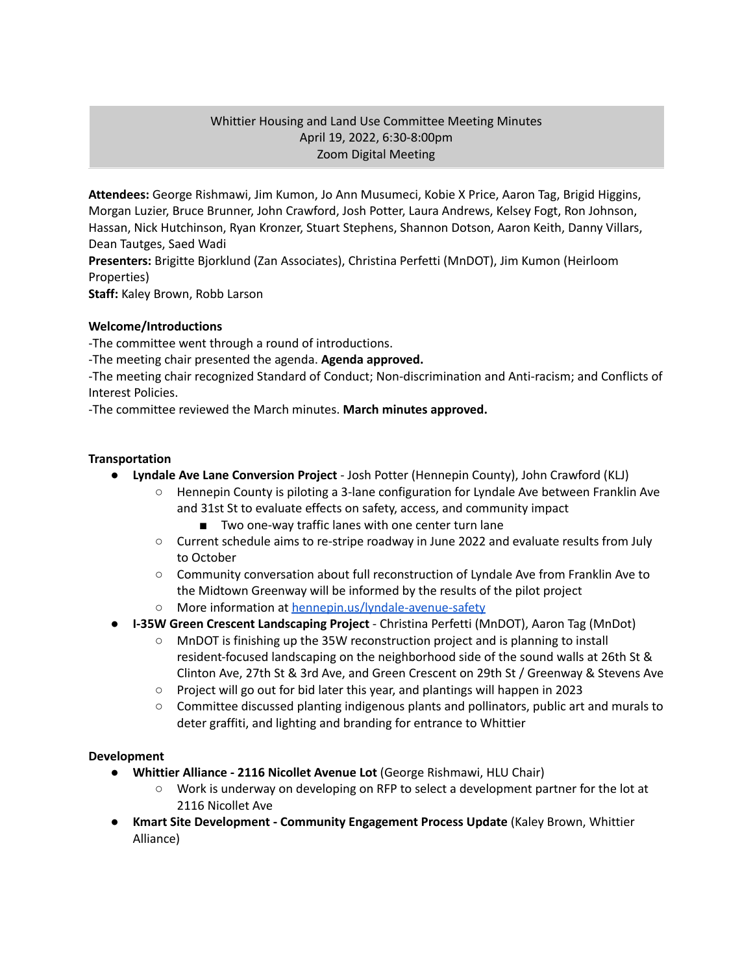# Whittier Housing and Land Use Committee Meeting Minutes April 19, 2022, 6:30-8:00pm Zoom Digital Meeting

**Attendees:** George Rishmawi, Jim Kumon, Jo Ann Musumeci, Kobie X Price, Aaron Tag, Brigid Higgins, Morgan Luzier, Bruce Brunner, John Crawford, Josh Potter, Laura Andrews, Kelsey Fogt, Ron Johnson, Hassan, Nick Hutchinson, Ryan Kronzer, Stuart Stephens, Shannon Dotson, Aaron Keith, Danny Villars, Dean Tautges, Saed Wadi

**Presenters:** Brigitte Bjorklund (Zan Associates), Christina Perfetti (MnDOT), Jim Kumon (Heirloom Properties)

**Staff:** Kaley Brown, Robb Larson

# **Welcome/Introductions**

-The committee went through a round of introductions.

-The meeting chair presented the agenda. **Agenda approved.**

-The meeting chair recognized Standard of Conduct; Non-discrimination and Anti-racism; and Conflicts of Interest Policies.

-The committee reviewed the March minutes. **March minutes approved.**

# **Transportation**

- **● Lyndale Ave Lane Conversion Project** Josh Potter (Hennepin County), John Crawford (KLJ)
	- Hennepin County is piloting a 3-lane configuration for Lyndale Ave between Franklin Ave and 31st St to evaluate effects on safety, access, and community impact
		- Two one-way traffic lanes with one center turn lane
	- Current schedule aims to re-stripe roadway in June 2022 and evaluate results from July to October
	- Community conversation about full reconstruction of Lyndale Ave from Franklin Ave to the Midtown Greenway will be informed by the results of the pilot project
	- More information at [hennepin.us/lyndale-avenue-safety](http://hennepin.us/lyndale-avenue-safety)
- **● I-35W Green Crescent Landscaping Project** Christina Perfetti (MnDOT), Aaron Tag (MnDot)
	- MnDOT is finishing up the 35W reconstruction project and is planning to install resident-focused landscaping on the neighborhood side of the sound walls at 26th St & Clinton Ave, 27th St & 3rd Ave, and Green Crescent on 29th St / Greenway & Stevens Ave
	- Project will go out for bid later this year, and plantings will happen in 2023
	- Committee discussed planting indigenous plants and pollinators, public art and murals to deter graffiti, and lighting and branding for entrance to Whittier

### **Development**

- **Whittier Alliance - 2116 Nicollet Avenue Lot** (George Rishmawi, HLU Chair)
	- **○** Work is underway on developing on RFP to select a development partner for the lot at 2116 Nicollet Ave
- **● Kmart Site Development - Community Engagement Process Update** (Kaley Brown, Whittier Alliance)